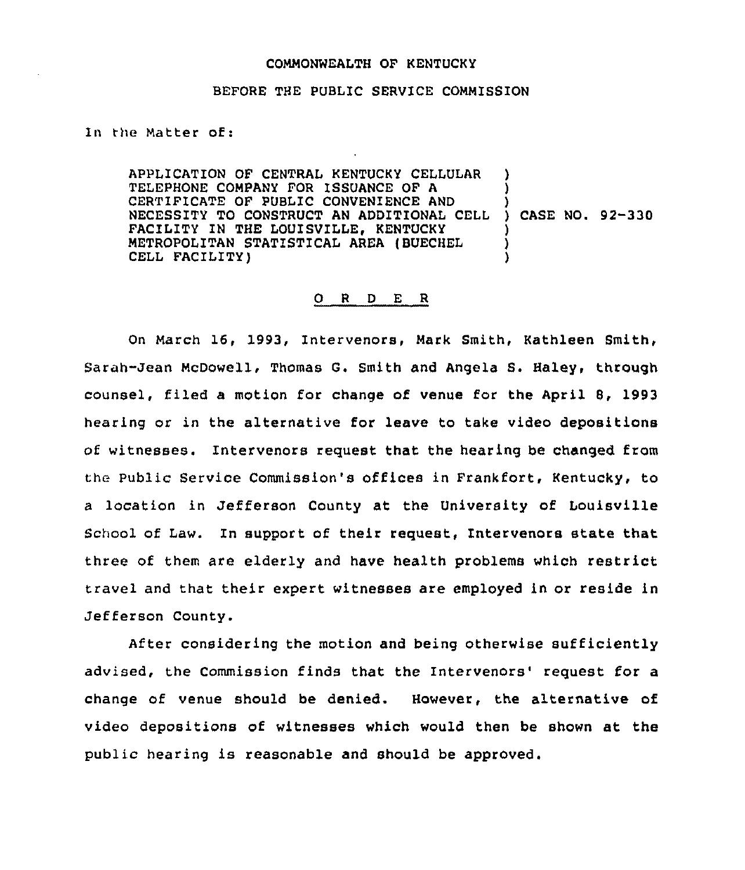## COMMONWEALTH OF KENTUCKY

## BEFORE THE PUBLIC SERVICE COMMISSION

## In the Matter of:

APPLICATION OF CENTRAL KENTUCKY CELLULAR TELEPHONE COMPANY FOR ISSUANCE OF A CERTIFICATE OF PUBLIC CONVENIENCE AND CERTIFICATE OF PUBLIC CONVENIENCE AND<br>NECESSITY TO CONSTRUCT AN ADDITIONAL CELL ) CASE NO. 92-330 FACILITY IN THE LOUISVILLE, KENTUCKY METROPOLITAN STATISTICAL AREA (BUECHEL CELL FACILITY) ) ) ) ) )

## 0 <sup>R</sup> <sup>D</sup> E <sup>R</sup>

On March 16, 1993, Intervenors, Mark Smith, Kathleen Smith, Sarah-Jean McDowell, Thomas G. Smith and Angels S. Haley, through counsel, filed a motion for change of venue for the April S, 1993 hearing or in the alternative for leave to take video depositions of witnesses. Intervenors request that the hearing be changed from the Public Service Commission's offices in Frankfort, Kentucky, to a location in Jefferson County at the University of Louisville School of Law. In support of their request, Intervenors state that three of them are elderly and have health problems which restrict travel and that their expert witnesses are employed in or reside in Jefferson County.

After considering the motion and being otherwise sufficiently advised, the Commission finds that the Intervenors' request for a change of venue should be denied. However, the alternative of video depositions of witnesses which would then be shown at the public hearing is reasonable and should be approved.